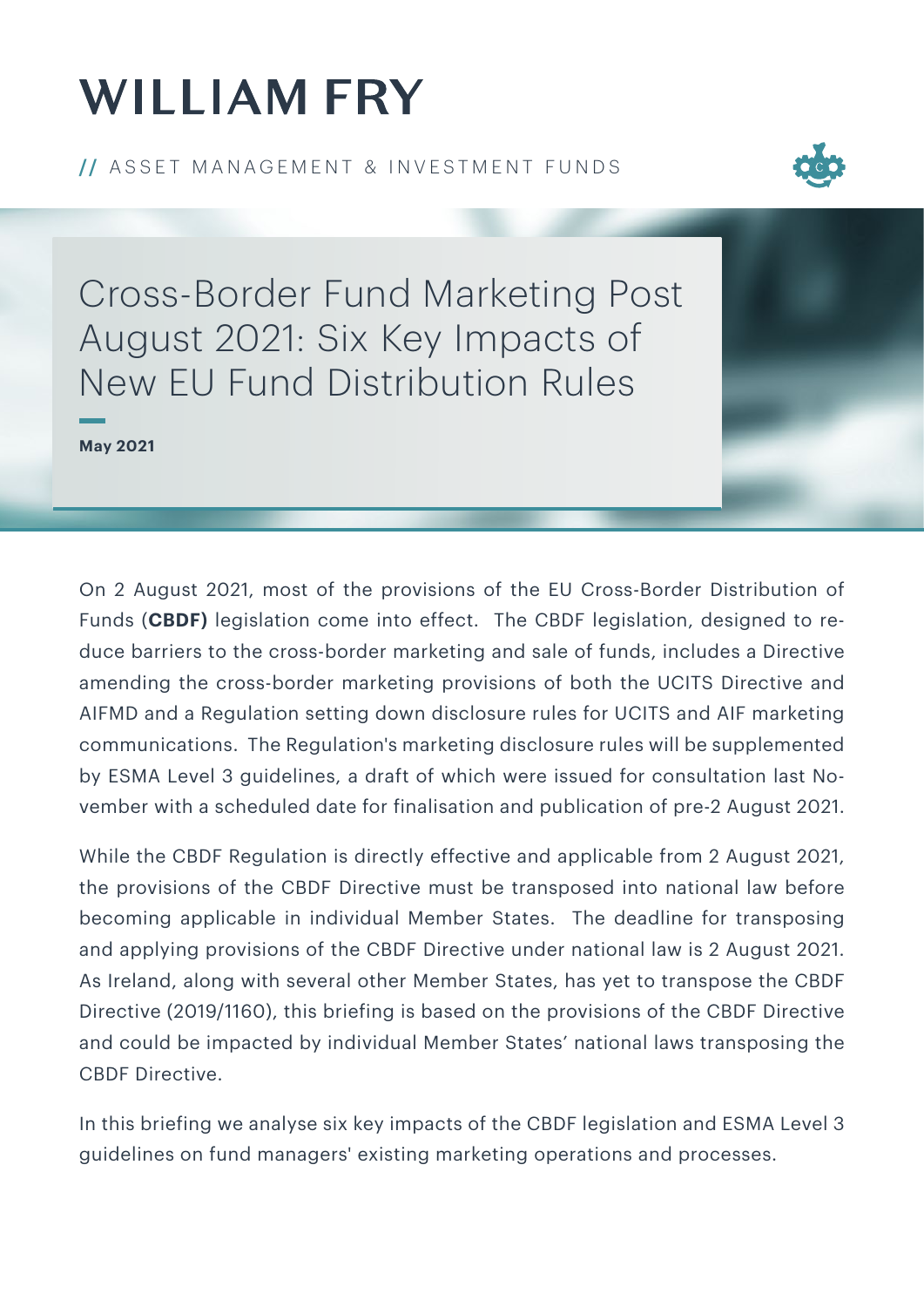# **WILLIAM FRY**

**// ASSET MANAGEMENT & INVESTMENT FUNDS** 



Cross-Border Fund Marketing Post August 2021: Six Key Impacts of New EU Fund Distribution Rules

**May 2021**

On 2 August 2021, most of the provisions of the EU Cross-Border Distribution of Funds (**CBDF)** legislation come into effect. The CBDF legislation, designed to reduce barriers to the cross-border marketing and sale of funds, includes a Directive amending the cross-border marketing provisions of both the UCITS Directive and AIFMD and a Regulation setting down disclosure rules for UCITS and AIF marketing communications. The Regulation's marketing disclosure rules will be supplemented by ESMA Level 3 guidelines, a draft of which were issued for consultation last November with a scheduled date for finalisation and publication of pre-2 August 2021.

While the CBDF Regulation is directly effective and applicable from 2 August 2021, the provisions of the CBDF Directive must be transposed into national law before becoming applicable in individual Member States. The deadline for transposing and applying provisions of the CBDF Directive under national law is 2 August 2021. As Ireland, along with several other Member States, has yet to transpose the CBDF Directive (2019/1160), this briefing is based on the provisions of the CBDF Directive and could be impacted by individual Member States' national laws transposing the CBDF Directive.

In this briefing we analyse six key impacts of the CBDF legislation and ESMA Level 3 guidelines on fund managers' existing marketing operations and processes.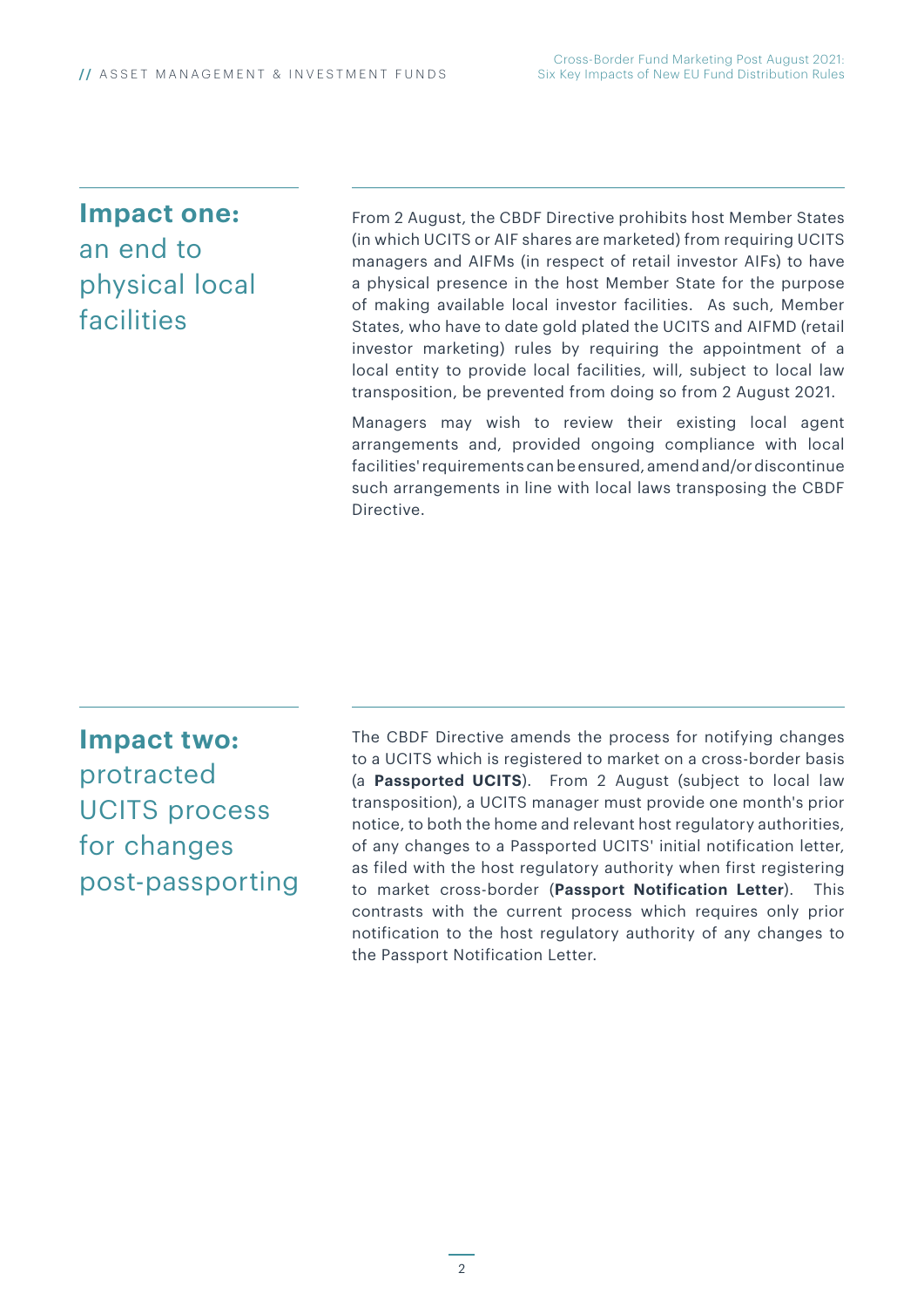**Impact one:**  an end to physical local

### facilities

From 2 August, the CBDF Directive prohibits host Member States (in which UCITS or AIF shares are marketed) from requiring UCITS managers and AIFMs (in respect of retail investor AIFs) to have a physical presence in the host Member State for the purpose of making available local investor facilities. As such, Member States, who have to date gold plated the UCITS and AIFMD (retail investor marketing) rules by requiring the appointment of a local entity to provide local facilities, will, subject to local law transposition, be prevented from doing so from 2 August 2021.

Managers may wish to review their existing local agent arrangements and, provided ongoing compliance with local facilities' requirements can be ensured, amend and/or discontinue such arrangements in line with local laws transposing the CBDF Directive.

**Impact two:** protracted UCITS process for changes post-passporting The CBDF Directive amends the process for notifying changes to a UCITS which is registered to market on a cross-border basis (a **Passported UCITS**). From 2 August (subject to local law transposition), a UCITS manager must provide one month's prior notice, to both the home and relevant host regulatory authorities, of any changes to a Passported UCITS' initial notification letter, as filed with the host regulatory authority when first registering to market cross-border (**Passport Notification Letter**). This contrasts with the current process which requires only prior notification to the host regulatory authority of any changes to the Passport Notification Letter.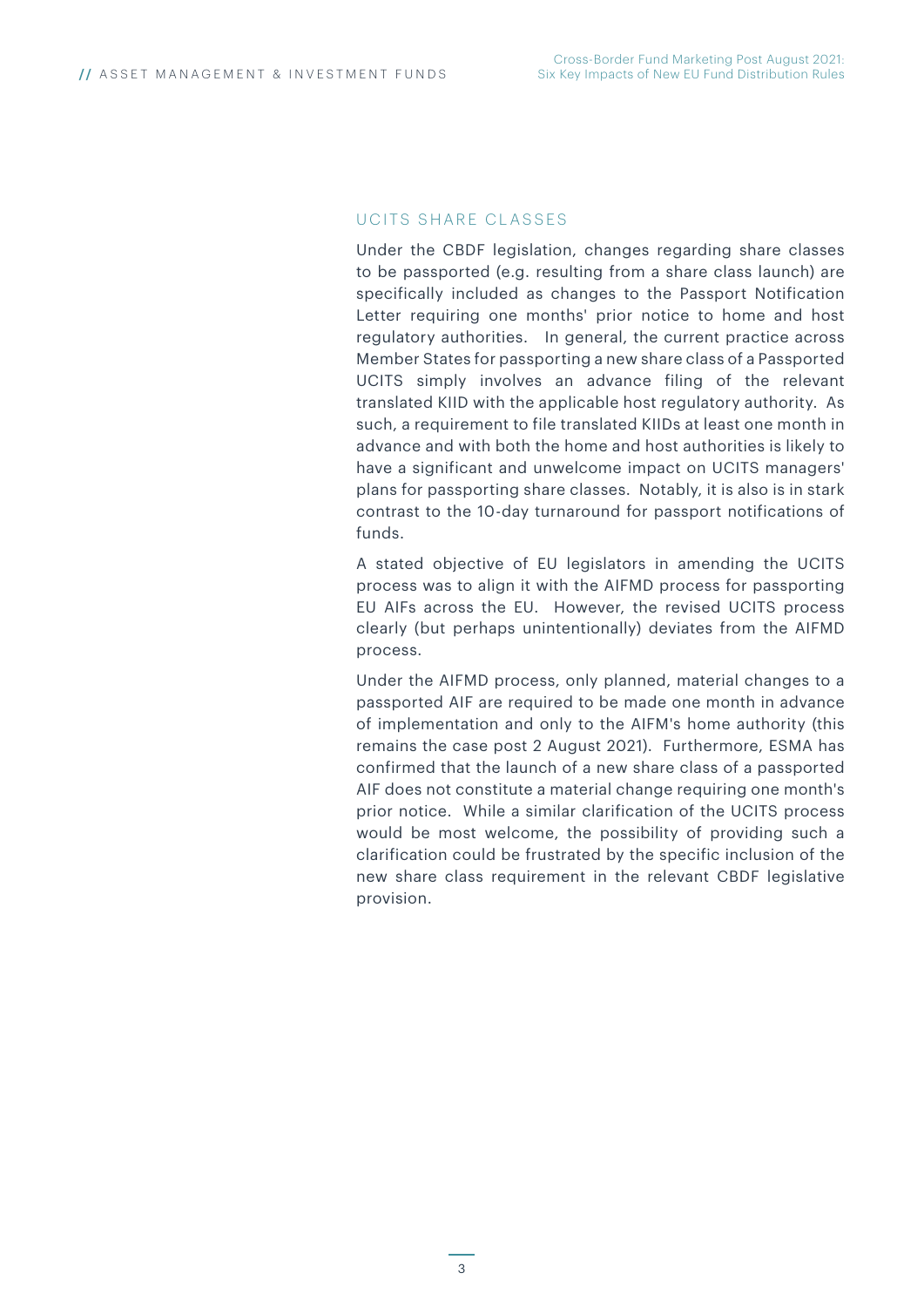#### UCITS SHARE CLASSES

Under the CBDF legislation, changes regarding share classes to be passported (e.g. resulting from a share class launch) are specifically included as changes to the Passport Notification Letter requiring one months' prior notice to home and host regulatory authorities. In general, the current practice across Member States for passporting a new share class of a Passported UCITS simply involves an advance filing of the relevant translated KIID with the applicable host regulatory authority. As such, a requirement to file translated KIIDs at least one month in advance and with both the home and host authorities is likely to have a significant and unwelcome impact on UCITS managers' plans for passporting share classes. Notably, it is also is in stark contrast to the 10-day turnaround for passport notifications of funds.

A stated objective of EU legislators in amending the UCITS process was to align it with the AIFMD process for passporting EU AIFs across the EU. However, the revised UCITS process clearly (but perhaps unintentionally) deviates from the AIFMD process.

Under the AIFMD process, only planned, material changes to a passported AIF are required to be made one month in advance of implementation and only to the AIFM's home authority (this remains the case post 2 August 2021). Furthermore, ESMA has confirmed that the launch of a new share class of a passported AIF does not constitute a material change requiring one month's prior notice. While a similar clarification of the UCITS process would be most welcome, the possibility of providing such a clarification could be frustrated by the specific inclusion of the new share class requirement in the relevant CBDF legislative provision.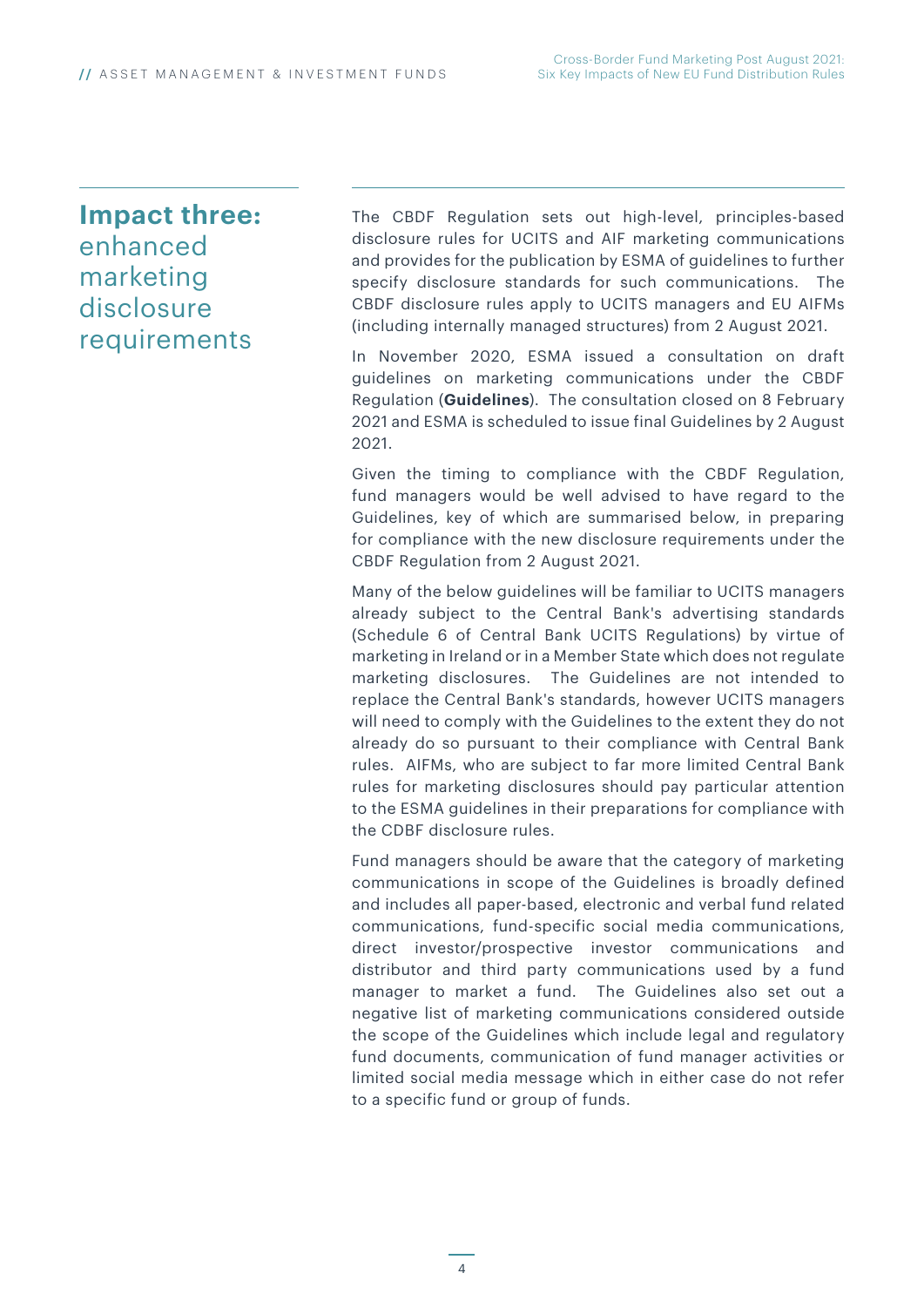### **Impact three:** enhanced marketing disclosure requirements

The CBDF Regulation sets out high-level, principles-based disclosure rules for UCITS and AIF marketing communications and provides for the publication by ESMA of guidelines to further specify disclosure standards for such communications. The CBDF disclosure rules apply to UCITS managers and EU AIFMs (including internally managed structures) from 2 August 2021.

In November 2020, ESMA issued a consultation on draft guidelines on marketing communications under the CBDF Regulation (**Guidelines**). The consultation closed on 8 February 2021 and ESMA is scheduled to issue final Guidelines by 2 August 2021.

Given the timing to compliance with the CBDF Regulation, fund managers would be well advised to have regard to the Guidelines, key of which are summarised below, in preparing for compliance with the new disclosure requirements under the CBDF Regulation from 2 August 2021.

Many of the below guidelines will be familiar to UCITS managers already subject to the Central Bank's advertising standards (Schedule 6 of Central Bank UCITS Regulations) by virtue of marketing in Ireland or in a Member State which does not regulate marketing disclosures. The Guidelines are not intended to replace the Central Bank's standards, however UCITS managers will need to comply with the Guidelines to the extent they do not already do so pursuant to their compliance with Central Bank rules. AIFMs, who are subject to far more limited Central Bank rules for marketing disclosures should pay particular attention to the ESMA guidelines in their preparations for compliance with the CDBF disclosure rules.

Fund managers should be aware that the category of marketing communications in scope of the Guidelines is broadly defined and includes all paper-based, electronic and verbal fund related communications, fund-specific social media communications, direct investor/prospective investor communications and distributor and third party communications used by a fund manager to market a fund. The Guidelines also set out a negative list of marketing communications considered outside the scope of the Guidelines which include legal and regulatory fund documents, communication of fund manager activities or limited social media message which in either case do not refer to a specific fund or group of funds.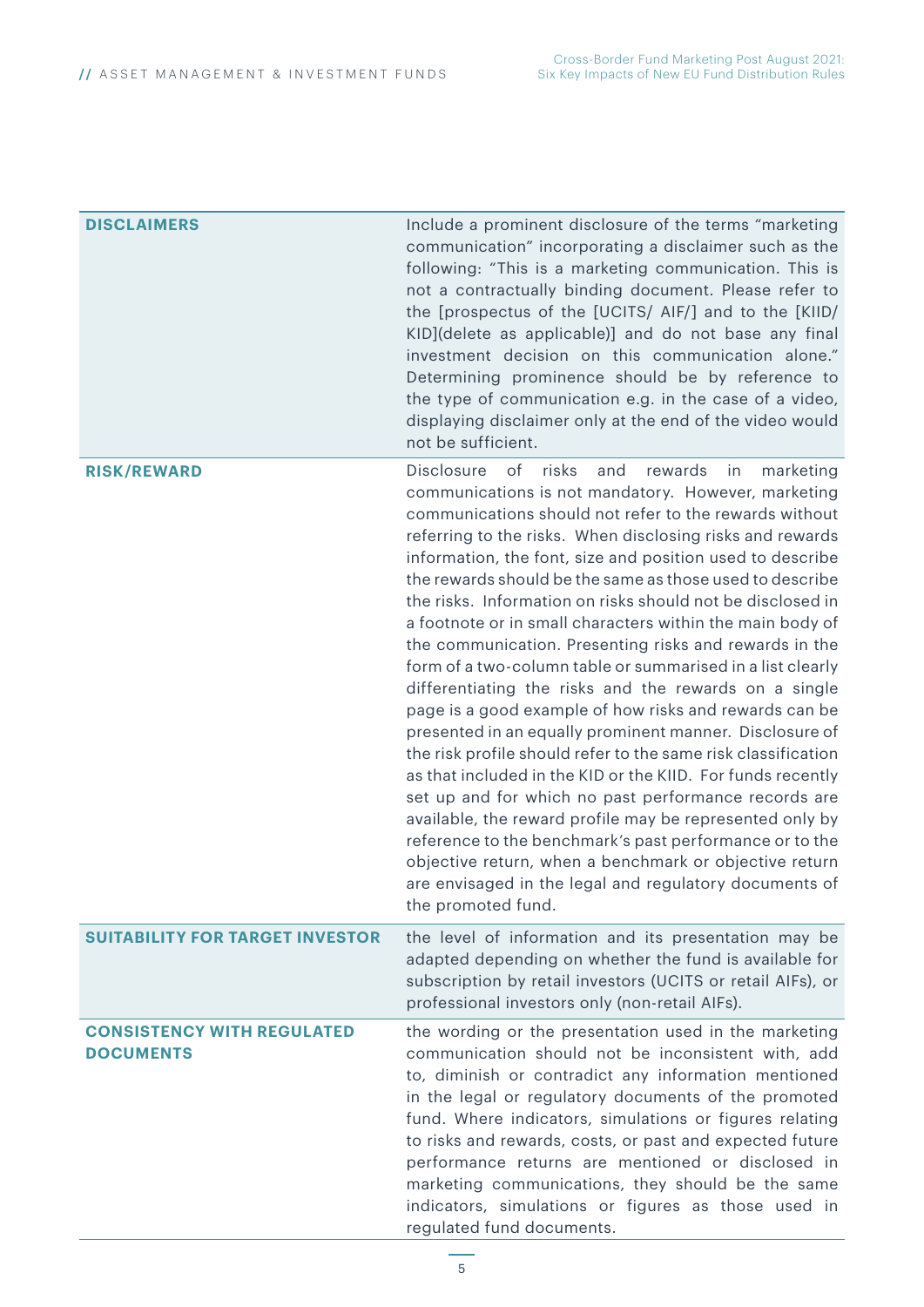| DISCLAIMERS                                           | Include a prominent disclosure of the terms "marketing<br>communication" incorporating a disclaimer such as the<br>following: "This is a marketing communication. This is<br>not a contractually binding document. Please refer to<br>the [prospectus of the [UCITS/ AIF/] and to the [KIID/<br>KID](delete as applicable)] and do not base any final<br>investment decision on this communication alone."<br>Determining prominence should be by reference to<br>the type of communication e.g. in the case of a video,<br>displaying disclaimer only at the end of the video would<br>not be sufficient.                                                                                                                                                                                                                                                                                                                                                                                                                                                                                                                                                                                                                                                             |
|-------------------------------------------------------|------------------------------------------------------------------------------------------------------------------------------------------------------------------------------------------------------------------------------------------------------------------------------------------------------------------------------------------------------------------------------------------------------------------------------------------------------------------------------------------------------------------------------------------------------------------------------------------------------------------------------------------------------------------------------------------------------------------------------------------------------------------------------------------------------------------------------------------------------------------------------------------------------------------------------------------------------------------------------------------------------------------------------------------------------------------------------------------------------------------------------------------------------------------------------------------------------------------------------------------------------------------------|
| <b>RISK/REWARD</b>                                    | risks<br><b>Disclosure</b><br>of<br>rewards<br>and<br>marketing<br>in<br>communications is not mandatory. However, marketing<br>communications should not refer to the rewards without<br>referring to the risks. When disclosing risks and rewards<br>information, the font, size and position used to describe<br>the rewards should be the same as those used to describe<br>the risks. Information on risks should not be disclosed in<br>a footnote or in small characters within the main body of<br>the communication. Presenting risks and rewards in the<br>form of a two-column table or summarised in a list clearly<br>differentiating the risks and the rewards on a single<br>page is a good example of how risks and rewards can be<br>presented in an equally prominent manner. Disclosure of<br>the risk profile should refer to the same risk classification<br>as that included in the KID or the KIID. For funds recently<br>set up and for which no past performance records are<br>available, the reward profile may be represented only by<br>reference to the benchmark's past performance or to the<br>objective return, when a benchmark or objective return<br>are envisaged in the legal and regulatory documents of<br>the promoted fund. |
| <b>SUITABILITY FOR TARGET INVESTOR</b>                | the level of information and its presentation may be<br>adapted depending on whether the fund is available for<br>subscription by retail investors (UCITS or retail AIFs), or<br>professional investors only (non-retail AIFs).                                                                                                                                                                                                                                                                                                                                                                                                                                                                                                                                                                                                                                                                                                                                                                                                                                                                                                                                                                                                                                        |
| <b>CONSISTENCY WITH REGULATED</b><br><b>DOCUMENTS</b> | the wording or the presentation used in the marketing<br>communication should not be inconsistent with, add<br>to, diminish or contradict any information mentioned<br>in the legal or regulatory documents of the promoted<br>fund. Where indicators, simulations or figures relating<br>to risks and rewards, costs, or past and expected future<br>performance returns are mentioned or disclosed in<br>marketing communications, they should be the same<br>indicators, simulations or figures as those used in<br>regulated fund documents.                                                                                                                                                                                                                                                                                                                                                                                                                                                                                                                                                                                                                                                                                                                       |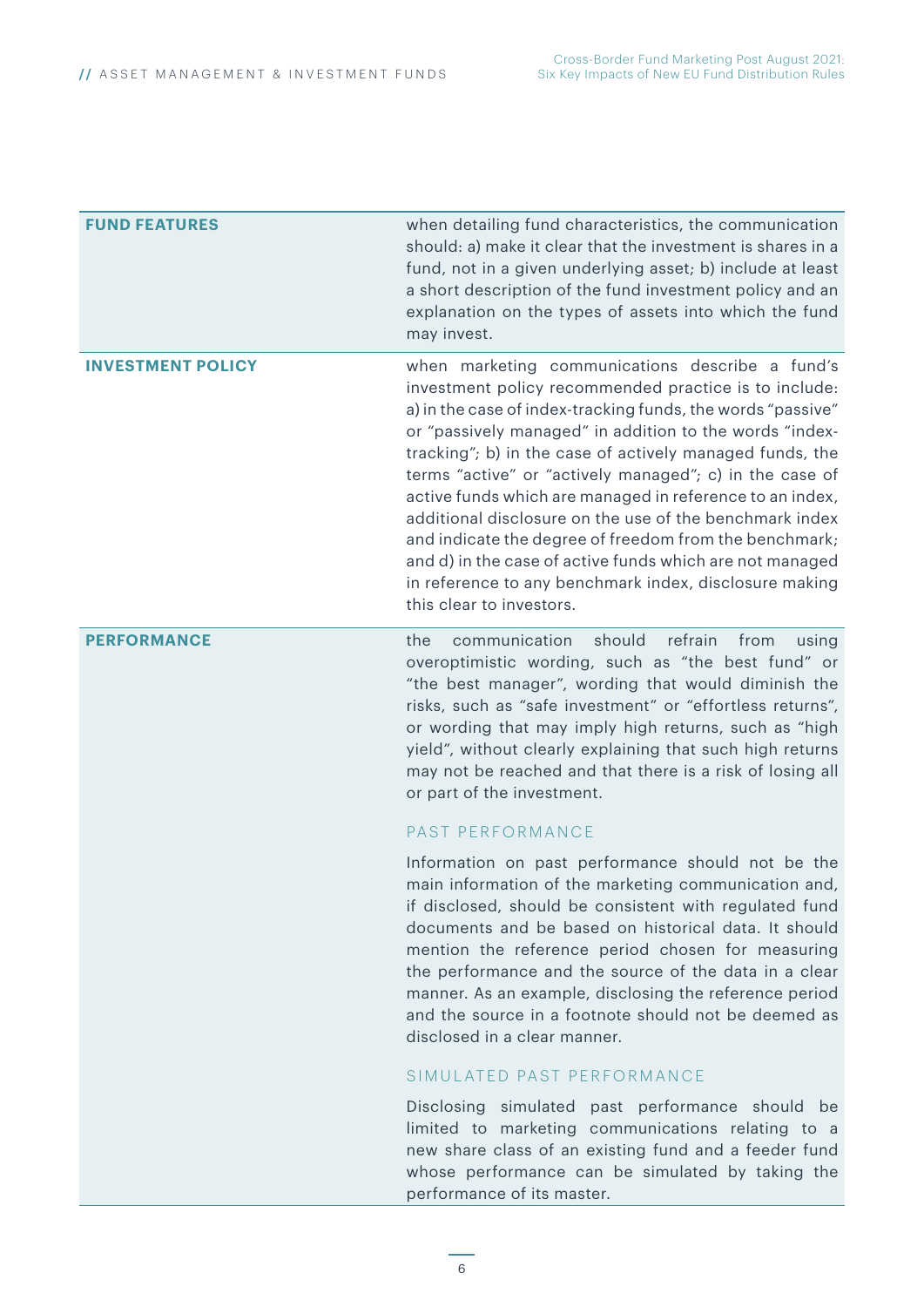| <b>FUND FEATURES</b>     | when detailing fund characteristics, the communication<br>should: a) make it clear that the investment is shares in a<br>fund, not in a given underlying asset; b) include at least<br>a short description of the fund investment policy and an<br>explanation on the types of assets into which the fund<br>may invest.                                                                                                                                                                                                                                                                                                                                                                     |
|--------------------------|----------------------------------------------------------------------------------------------------------------------------------------------------------------------------------------------------------------------------------------------------------------------------------------------------------------------------------------------------------------------------------------------------------------------------------------------------------------------------------------------------------------------------------------------------------------------------------------------------------------------------------------------------------------------------------------------|
| <b>INVESTMENT POLICY</b> | when marketing communications describe a fund's<br>investment policy recommended practice is to include:<br>a) in the case of index-tracking funds, the words "passive"<br>or "passively managed" in addition to the words "index-<br>tracking"; b) in the case of actively managed funds, the<br>terms "active" or "actively managed"; c) in the case of<br>active funds which are managed in reference to an index,<br>additional disclosure on the use of the benchmark index<br>and indicate the degree of freedom from the benchmark;<br>and d) in the case of active funds which are not managed<br>in reference to any benchmark index, disclosure making<br>this clear to investors. |
| <b>PERFORMANCE</b>       | communication<br>should<br>refrain<br>the<br>from<br>using<br>overoptimistic wording, such as "the best fund" or<br>"the best manager", wording that would diminish the<br>risks, such as "safe investment" or "effortless returns",<br>or wording that may imply high returns, such as "high<br>yield", without clearly explaining that such high returns<br>may not be reached and that there is a risk of losing all<br>or part of the investment.                                                                                                                                                                                                                                        |
|                          | PAST PERFORMANCE<br>Information on past performance should not be the<br>main information of the marketing communication and,<br>if disclosed, should be consistent with regulated fund<br>documents and be based on historical data. It should<br>mention the reference period chosen for measuring<br>the performance and the source of the data in a clear<br>manner. As an example, disclosing the reference period<br>and the source in a footnote should not be deemed as<br>disclosed in a clear manner.                                                                                                                                                                              |
|                          | SIMULATED PAST PERFORMANCE                                                                                                                                                                                                                                                                                                                                                                                                                                                                                                                                                                                                                                                                   |
|                          | Disclosing simulated past performance should be<br>limited to marketing communications relating to a<br>new share class of an existing fund and a feeder fund<br>whose performance can be simulated by taking the<br>performance of its master.                                                                                                                                                                                                                                                                                                                                                                                                                                              |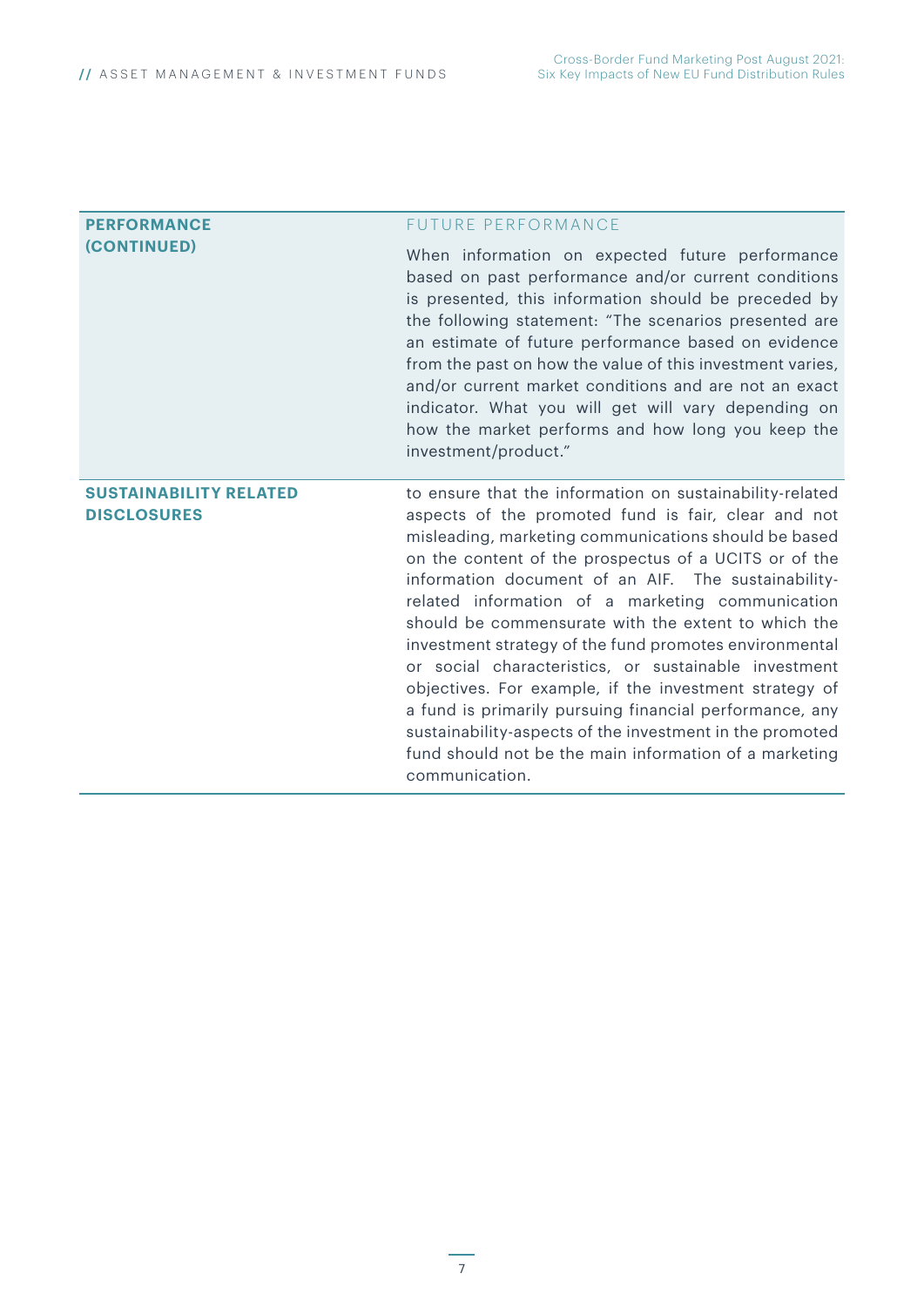| <b>PERFORMANCE</b>                                  | <b>FUTURE PERFORMANCE</b>                                                                                                                                                                                                                                                                                                                                                                                                                                                                                                                                                                                                                                                                                                                                                         |
|-----------------------------------------------------|-----------------------------------------------------------------------------------------------------------------------------------------------------------------------------------------------------------------------------------------------------------------------------------------------------------------------------------------------------------------------------------------------------------------------------------------------------------------------------------------------------------------------------------------------------------------------------------------------------------------------------------------------------------------------------------------------------------------------------------------------------------------------------------|
| (CONTINUED)                                         | When information on expected future performance<br>based on past performance and/or current conditions<br>is presented, this information should be preceded by<br>the following statement: "The scenarios presented are<br>an estimate of future performance based on evidence<br>from the past on how the value of this investment varies,<br>and/or current market conditions and are not an exact<br>indicator. What you will get will vary depending on<br>how the market performs and how long you keep the<br>investment/product."                                                                                                                                                                                                                                          |
| <b>SUSTAINABILITY RELATED</b><br><b>DISCLOSURES</b> | to ensure that the information on sustainability-related<br>aspects of the promoted fund is fair, clear and not<br>misleading, marketing communications should be based<br>on the content of the prospectus of a UCITS or of the<br>information document of an AIF. The sustainability-<br>related information of a marketing communication<br>should be commensurate with the extent to which the<br>investment strategy of the fund promotes environmental<br>or social characteristics, or sustainable investment<br>objectives. For example, if the investment strategy of<br>a fund is primarily pursuing financial performance, any<br>sustainability-aspects of the investment in the promoted<br>fund should not be the main information of a marketing<br>communication. |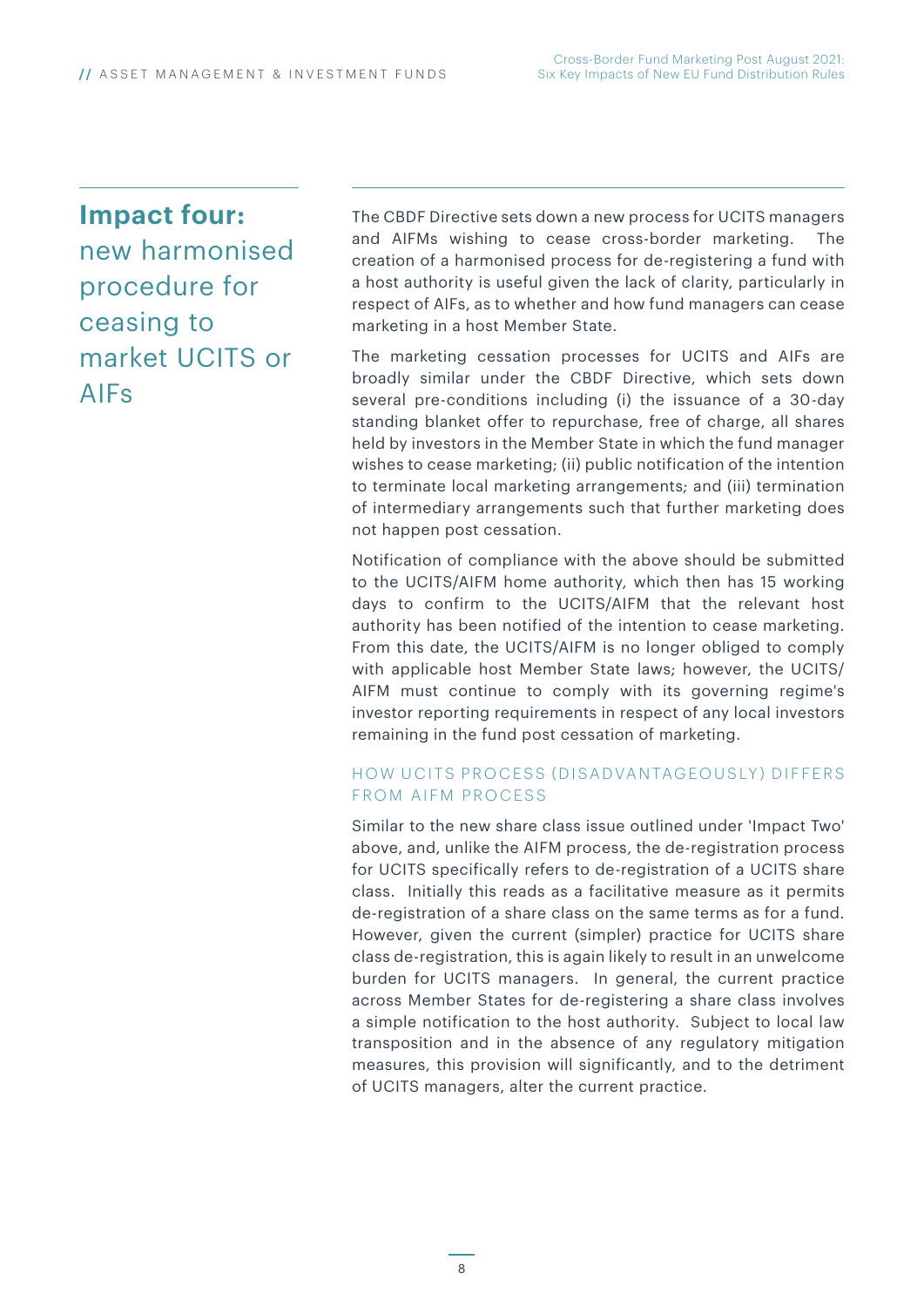### **Impact four:**

new harmonised procedure for ceasing to market UCITS or AIFs

The CBDF Directive sets down a new process for UCITS managers and AIFMs wishing to cease cross-border marketing. The creation of a harmonised process for de-registering a fund with a host authority is useful given the lack of clarity, particularly in respect of AIFs, as to whether and how fund managers can cease marketing in a host Member State.

The marketing cessation processes for UCITS and AIFs are broadly similar under the CBDF Directive, which sets down several pre-conditions including (i) the issuance of a 30-day standing blanket offer to repurchase, free of charge, all shares held by investors in the Member State in which the fund manager wishes to cease marketing; (ii) public notification of the intention to terminate local marketing arrangements; and (iii) termination of intermediary arrangements such that further marketing does not happen post cessation.

Notification of compliance with the above should be submitted to the UCITS/AIFM home authority, which then has 15 working days to confirm to the UCITS/AIFM that the relevant host authority has been notified of the intention to cease marketing. From this date, the UCITS/AIFM is no longer obliged to comply with applicable host Member State laws; however, the UCITS/ AIFM must continue to comply with its governing regime's investor reporting requirements in respect of any local investors remaining in the fund post cessation of marketing.

#### HOW UCITS PROCESS (DISADVANTAGEOUSLY) DIFFERS FROM AIFM PROCESS

Similar to the new share class issue outlined under 'Impact Two' above, and, unlike the AIFM process, the de-registration process for UCITS specifically refers to de-registration of a UCITS share class. Initially this reads as a facilitative measure as it permits de-registration of a share class on the same terms as for a fund. However, given the current (simpler) practice for UCITS share class de-registration, this is again likely to result in an unwelcome burden for UCITS managers. In general, the current practice across Member States for de-registering a share class involves a simple notification to the host authority. Subject to local law transposition and in the absence of any regulatory mitigation measures, this provision will significantly, and to the detriment of UCITS managers, alter the current practice.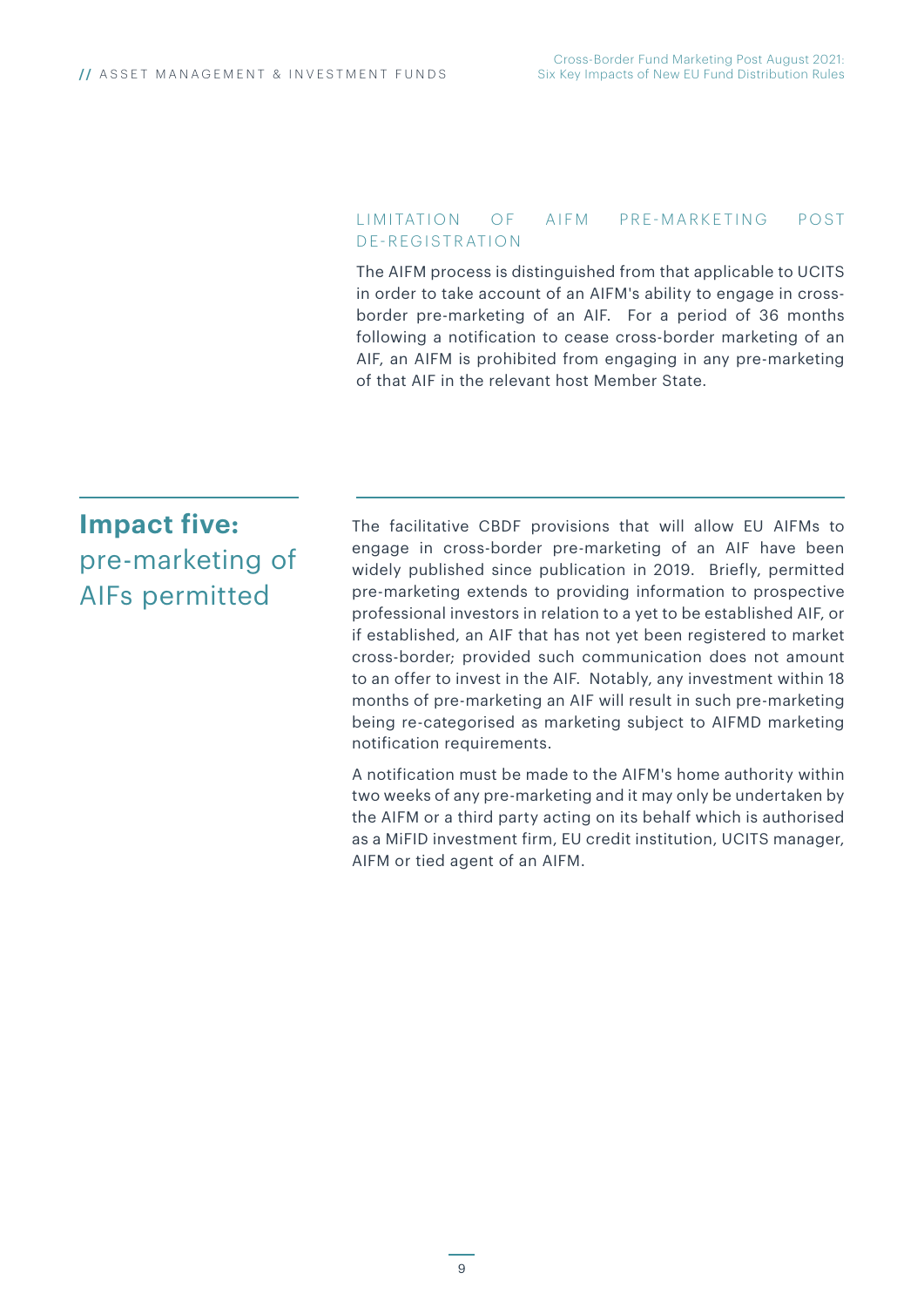#### LIMITATION OF AIFM PRE-MARKETING POST DE-REGISTRATION

The AIFM process is distinguished from that applicable to UCITS in order to take account of an AIFM's ability to engage in crossborder pre-marketing of an AIF. For a period of 36 months following a notification to cease cross-border marketing of an AIF, an AIFM is prohibited from engaging in any pre-marketing of that AIF in the relevant host Member State.

### **Impact five:** pre-marketing of AIFs permitted

The facilitative CBDF provisions that will allow EU AIFMs to engage in cross-border pre-marketing of an AIF have been widely published since publication in 2019. Briefly, permitted pre-marketing extends to providing information to prospective professional investors in relation to a yet to be established AIF, or if established, an AIF that has not yet been registered to market cross-border; provided such communication does not amount to an offer to invest in the AIF. Notably, any investment within 18 months of pre-marketing an AIF will result in such pre-marketing being re-categorised as marketing subject to AIFMD marketing notification requirements.

A notification must be made to the AIFM's home authority within two weeks of any pre-marketing and it may only be undertaken by the AIFM or a third party acting on its behalf which is authorised as a MiFID investment firm, EU credit institution, UCITS manager, AIFM or tied agent of an AIFM.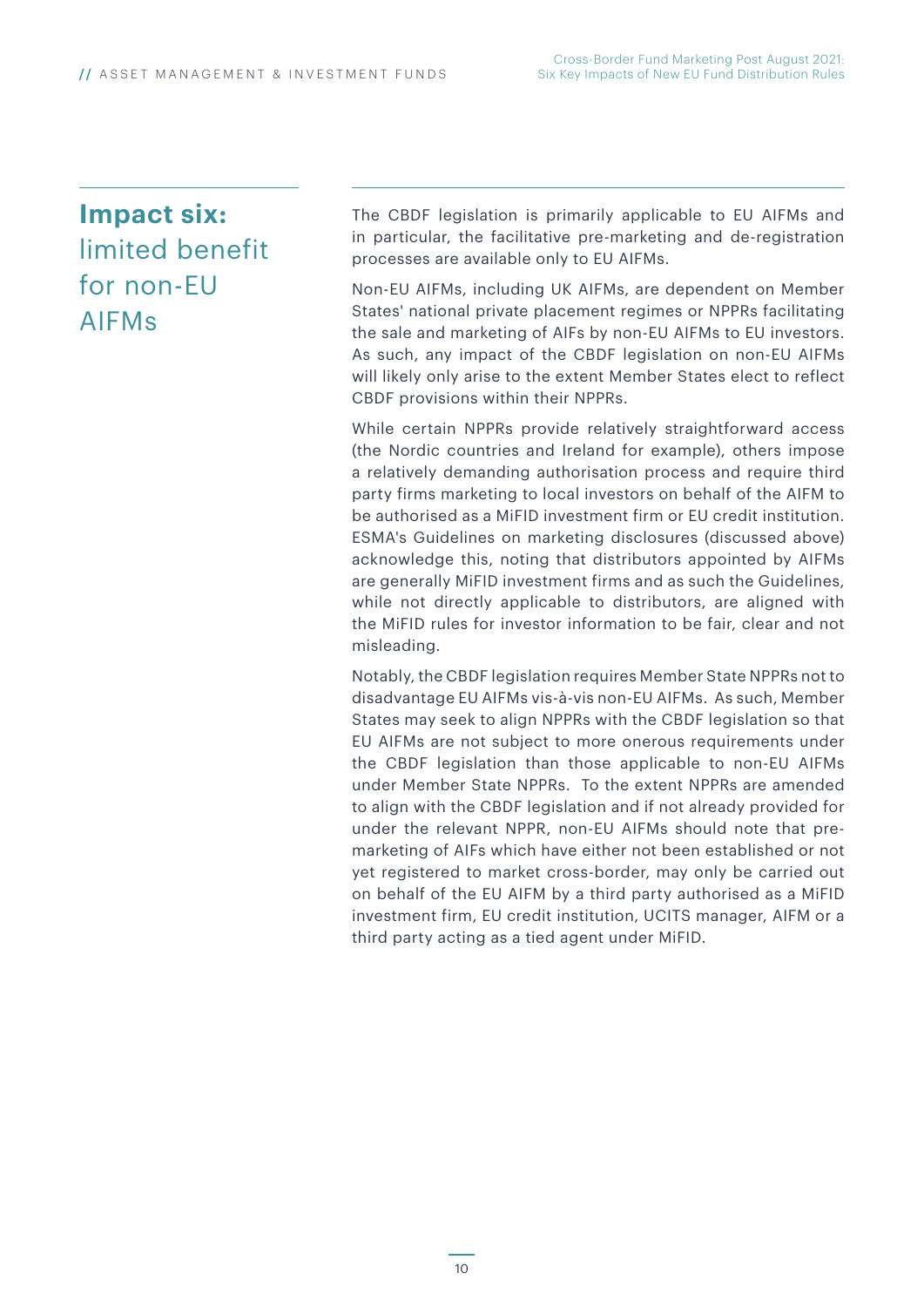### **Impact six:** limited benefit for non-EU AIFMs

The CBDF legislation is primarily applicable to EU AIFMs and in particular, the facilitative pre-marketing and de-registration processes are available only to EU AIFMs.

Non-EU AIFMs, including UK AIFMs, are dependent on Member States' national private placement regimes or NPPRs facilitating the sale and marketing of AIFs by non-EU AIFMs to EU investors. As such, any impact of the CBDF legislation on non-EU AIFMs will likely only arise to the extent Member States elect to reflect CBDF provisions within their NPPRs.

While certain NPPRs provide relatively straightforward access (the Nordic countries and Ireland for example), others impose a relatively demanding authorisation process and require third party firms marketing to local investors on behalf of the AIFM to be authorised as a MiFID investment firm or EU credit institution. ESMA's Guidelines on marketing disclosures (discussed above) acknowledge this, noting that distributors appointed by AIFMs are generally MiFID investment firms and as such the Guidelines, while not directly applicable to distributors, are aligned with the MiFID rules for investor information to be fair, clear and not misleading.

Notably, the CBDF legislation requires Member State NPPRs not to disadvantage EU AIFMs vis-à-vis non-EU AIFMs. As such, Member States may seek to align NPPRs with the CBDF legislation so that EU AIFMs are not subject to more onerous requirements under the CBDF legislation than those applicable to non-EU AIFMs under Member State NPPRs. To the extent NPPRs are amended to align with the CBDF legislation and if not already provided for under the relevant NPPR, non-EU AIFMs should note that premarketing of AIFs which have either not been established or not yet registered to market cross-border, may only be carried out on behalf of the EU AIFM by a third party authorised as a MiFID investment firm, EU credit institution, UCITS manager, AIFM or a third party acting as a tied agent under MiFID.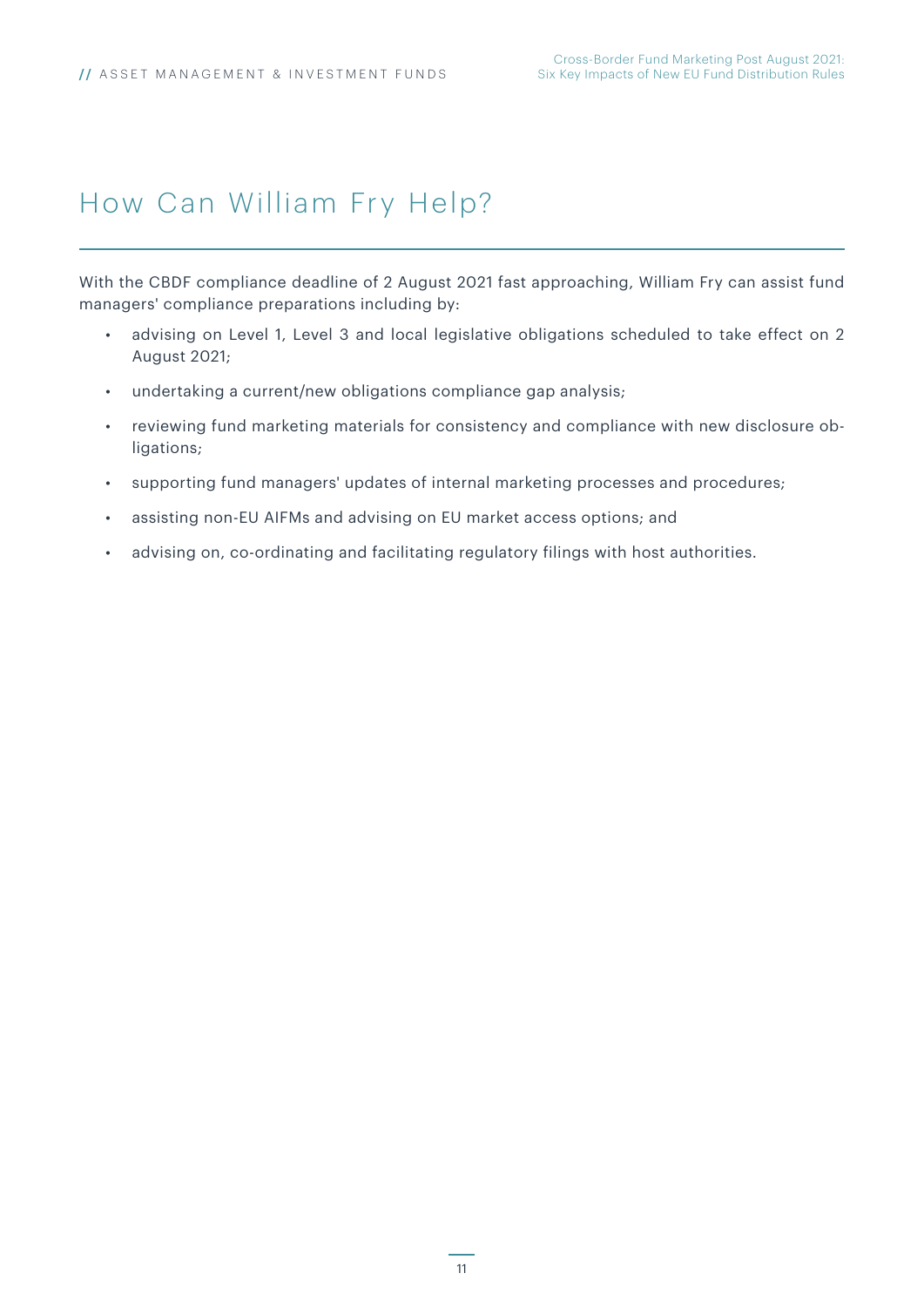### How Can William Fry Help?

With the CBDF compliance deadline of 2 August 2021 fast approaching, William Fry can assist fund managers' compliance preparations including by:

- advising on Level 1, Level 3 and local legislative obligations scheduled to take effect on 2 August 2021;
- undertaking a current/new obligations compliance gap analysis;
- reviewing fund marketing materials for consistency and compliance with new disclosure obligations;
- supporting fund managers' updates of internal marketing processes and procedures;
- assisting non-EU AIFMs and advising on EU market access options; and
- advising on, co-ordinating and facilitating regulatory filings with host authorities.